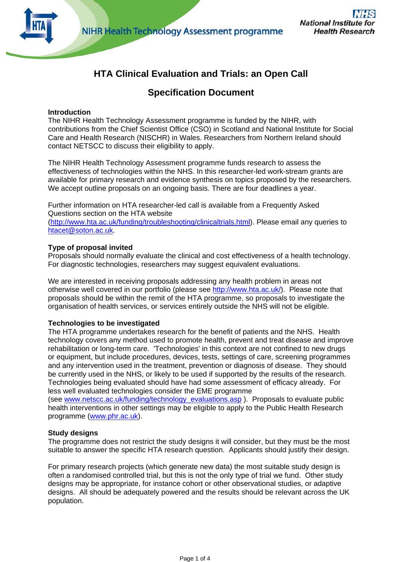

# **HTA Clinical Evaluation and Trials: an Open Call**

## **Specification Document**

## **Introduction**

The NIHR Health Technology Assessment programme is funded by the NIHR, with contributions from the Chief Scientist Office (CSO) in Scotland and National Institute for Social Care and Health Research (NISCHR) in Wales. Researchers from Northern Ireland should contact NETSCC to discuss their eligibility to apply.

The NIHR Health Technology Assessment programme funds research to assess the effectiveness of technologies within the NHS. In this researcher-led work-stream grants are available for primary research and evidence synthesis on topics proposed by the researchers. We accept outline proposals on an ongoing basis. There are four deadlines a year.

Further information on HTA researcher-led call is available from a Frequently Asked Questions section on the HTA website (<http://www.hta.ac.uk/funding/troubleshooting/clinicaltrials.html>). Please email any queries to [htacet@soton.ac.uk](mailto:htacet@soton.ac.uk).

## **Type of proposal invited**

Proposals should normally evaluate the clinical and cost effectiveness of a health technology. For diagnostic technologies, researchers may suggest equivalent evaluations.

We are interested in receiving proposals addressing any health problem in areas not otherwise well covered in our portfolio (please see<http://www.hta.ac.uk/>). Please note that proposals should be within the remit of the HTA programme, so proposals to investigate the organisation of health services, or services entirely outside the NHS will not be eligible.

## **Technologies to be investigated**

The HTA programme undertakes research for the benefit of patients and the NHS. Health technology covers any method used to promote health, prevent and treat disease and improve rehabilitation or long-term care. 'Technologies' in this context are not confined to new drugs or equipment, but include procedures, devices, tests, settings of care, screening programmes and any intervention used in the treatment, prevention or diagnosis of disease. They should be currently used in the NHS, or likely to be used if supported by the results of the research. Technologies being evaluated should have had some assessment of efficacy already. For less well evaluated technologies consider the EME programme

(see [www.netscc.ac.uk/funding/technology\\_evaluations.asp](http://www.netscc.ac.uk/funding/technology_evaluations.asp) ). Proposals to evaluate public health interventions in other settings may be eligible to apply to the Public Health Research programme ([www.phr.ac.uk](http://www.phr.ac.uk/)).

## **Study designs**

The programme does not restrict the study designs it will consider, but they must be the most suitable to answer the specific HTA research question. Applicants should justify their design.

For primary research projects (which generate new data) the most suitable study design is often a randomised controlled trial, but this is not the only type of trial we fund. Other study designs may be appropriate, for instance cohort or other observational studies, or adaptive designs. All should be adequately powered and the results should be relevant across the UK population.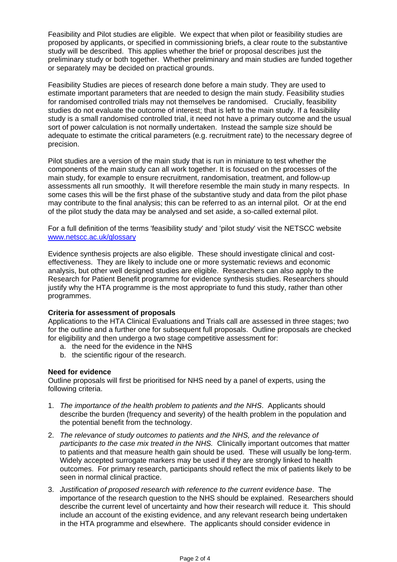Feasibility and Pilot studies are eligible. We expect that when pilot or feasibility studies are proposed by applicants, or specified in commissioning briefs, a clear route to the substantive study will be described. This applies whether the brief or proposal describes just the preliminary study or both together. Whether preliminary and main studies are funded together or separately may be decided on practical grounds.

Feasibility Studies are pieces of research done before a main study. They are used to estimate important parameters that are needed to design the main study. Feasibility studies for randomised controlled trials may not themselves be randomised. Crucially, feasibility studies do not evaluate the outcome of interest; that is left to the main study. If a feasibility study is a small randomised controlled trial, it need not have a primary outcome and the usual sort of power calculation is not normally undertaken. Instead the sample size should be adequate to estimate the critical parameters (e.g. recruitment rate) to the necessary degree of precision.

Pilot studies are a version of the main study that is run in miniature to test whether the components of the main study can all work together. It is focused on the processes of the main study, for example to ensure recruitment, randomisation, treatment, and follow-up assessments all run smoothly. It will therefore resemble the main study in many respects. In some cases this will be the first phase of the substantive study and data from the pilot phase may contribute to the final analysis; this can be referred to as an internal pilot. Or at the end of the pilot study the data may be analysed and set aside, a so-called external pilot.

For a full definition of the terms 'feasibility study' and 'pilot study' visit the NETSCC website [www.netscc.ac.uk/glossary](http://www.netscc.ac.uk/glossary)

Evidence synthesis projects are also eligible. These should investigate clinical and costeffectiveness. They are likely to include one or more systematic reviews and economic analysis, but other well designed studies are eligible. Researchers can also apply to the Research for Patient Benefit programme for evidence synthesis studies. Researchers should justify why the HTA programme is the most appropriate to fund this study, rather than other programmes.

## **Criteria for assessment of proposals**

Applications to the HTA Clinical Evaluations and Trials call are assessed in three stages; two for the outline and a further one for subsequent full proposals. Outline proposals are checked for eligibility and then undergo a two stage competitive assessment for:

- a. the need for the evidence in the NHS
- b. the scientific rigour of the research.

#### **Need for evidence**

Outline proposals will first be prioritised for NHS need by a panel of experts, using the following criteria.

- 1. *The importance of the health problem to patients and the NHS*. Applicants should describe the burden (frequency and severity) of the health problem in the population and the potential benefit from the technology.
- 2. *The relevance of study outcomes to patients and the NHS, and the relevance of participants to the case mix treated in the NHS.* Clinically important outcomes that matter to patients and that measure health gain should be used. These will usually be long-term. Widely accepted surrogate markers may be used if they are strongly linked to health outcomes. For primary research, participants should reflect the mix of patients likely to be seen in normal clinical practice.
- 3. *Justification of proposed research with reference to the current evidence base*. The importance of the research question to the NHS should be explained. Researchers should describe the current level of uncertainty and how their research will reduce it. This should include an account of the existing evidence, and any relevant research being undertaken in the HTA programme and elsewhere. The applicants should consider evidence in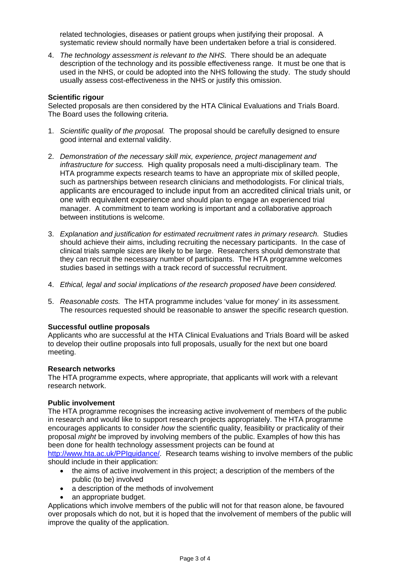related technologies, diseases or patient groups when justifying their proposal. A systematic review should normally have been undertaken before a trial is considered.

4. *The technology assessment is relevant to the NHS.* There should be an adequate description of the technology and its possible effectiveness range. It must be one that is used in the NHS, or could be adopted into the NHS following the study. The study should usually assess cost-effectiveness in the NHS or justify this omission.

#### **Scientific rigour**

Selected proposals are then considered by the HTA Clinical Evaluations and Trials Board. The Board uses the following criteria.

- 1. *Scientific quality of the proposal.* The proposal should be carefully designed to ensure good internal and external validity.
- 2. *Demonstration of the necessary skill mix, experience, project management and infrastructure for success.* High quality proposals need a multi-disciplinary team. The HTA programme expects research teams to have an appropriate mix of skilled people, such as partnerships between research clinicians and methodologists. For clinical trials, applicants are encouraged to include input from an accredited clinical trials unit, or one with equivalent experience and should plan to engage an experienced trial manager. A commitment to team working is important and a collaborative approach between institutions is welcome.
- 3. *Explanation and justification for estimated recruitment rates in primary research.* Studies should achieve their aims, including recruiting the necessary participants. In the case of clinical trials sample sizes are likely to be large. Researchers should demonstrate that they can recruit the necessary number of participants. The HTA programme welcomes studies based in settings with a track record of successful recruitment.
- 4. *Ethical, legal and social implications of the research proposed have been considered.*
- 5. *Reasonable costs.* The HTA programme includes 'value for money' in its assessment. The resources requested should be reasonable to answer the specific research question.

#### **Successful outline proposals**

Applicants who are successful at the HTA Clinical Evaluations and Trials Board will be asked to develop their outline proposals into full proposals, usually for the next but one board meeting.

#### **Research networks**

The HTA programme expects, where appropriate, that applicants will work with a relevant research network.

#### **Public involvement**

The HTA programme recognises the increasing active involvement of members of the public in research and would like to support research projects appropriately. The HTA programme encourages applicants to consider *how* the scientific quality, feasibility or practicality of their proposal *might* be improved by involving members of the public. Examples of how this has been done for health technology assessment projects can be found at

[http://www.hta.ac.uk/PPIguidance/.](http://www.hta.ac.uk/PPIguidance/) Research teams wishing to involve members of the public should include in their application:

- the aims of active involvement in this project; a description of the members of the public (to be) involved
- a description of the methods of involvement
- an appropriate budget.

Applications which involve members of the public will not for that reason alone, be favoured over proposals which do not, but it is hoped that the involvement of members of the public will improve the quality of the application.